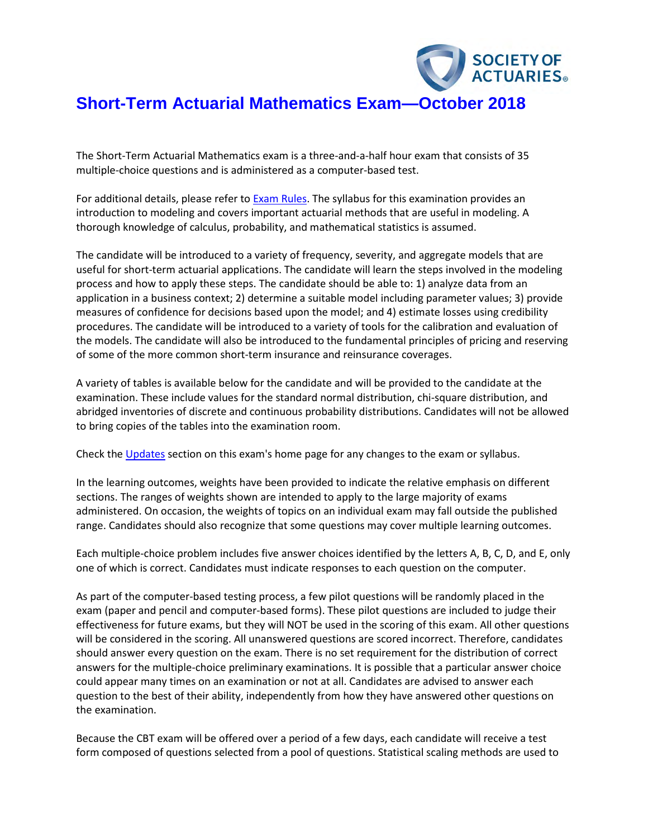

# **Short-Term Actuarial Mathematics Exam—October 2018**

The Short-Term Actuarial Mathematics exam is a three-and-a-half hour exam that consists of 35 multiple-choice questions and is administered as a computer-based test.

For additional details, please refer to **Exam Rules**. The syllabus for this examination provides an introduction to modeling and covers important actuarial methods that are useful in modeling. A thorough knowledge of calculus, probability, and mathematical statistics is assumed.

The candidate will be introduced to a variety of frequency, severity, and aggregate models that are useful for short-term actuarial applications. The candidate will learn the steps involved in the modeling process and how to apply these steps. The candidate should be able to: 1) analyze data from an application in a business context; 2) determine a suitable model including parameter values; 3) provide measures of confidence for decisions based upon the model; and 4) estimate losses using credibility procedures. The candidate will be introduced to a variety of tools for the calibration and evaluation of the models. The candidate will also be introduced to the fundamental principles of pricing and reserving of some of the more common short-term insurance and reinsurance coverages.

A variety of tables is available below for the candidate and will be provided to the candidate at the examination. These include values for the standard normal distribution, chi-square distribution, and abridged inventories of discrete and continuous probability distributions. Candidates will not be allowed to bring copies of the tables into the examination room.

Check th[e Updates](https://www.soa.org/Education/Exam-Req/Syllabus-Study-Materials/edu-updates-exam-stam.aspx) section on this exam's home page for any changes to the exam or syllabus.

In the learning outcomes, weights have been provided to indicate the relative emphasis on different sections. The ranges of weights shown are intended to apply to the large majority of exams administered. On occasion, the weights of topics on an individual exam may fall outside the published range. Candidates should also recognize that some questions may cover multiple learning outcomes.

Each multiple-choice problem includes five answer choices identified by the letters A, B, C, D, and E, only one of which is correct. Candidates must indicate responses to each question on the computer.

As part of the computer-based testing process, a few pilot questions will be randomly placed in the exam (paper and pencil and computer-based forms). These pilot questions are included to judge their effectiveness for future exams, but they will NOT be used in the scoring of this exam. All other questions will be considered in the scoring. All unanswered questions are scored incorrect. Therefore, candidates should answer every question on the exam. There is no set requirement for the distribution of correct answers for the multiple-choice preliminary examinations. It is possible that a particular answer choice could appear many times on an examination or not at all. Candidates are advised to answer each question to the best of their ability, independently from how they have answered other questions on the examination.

Because the CBT exam will be offered over a period of a few days, each candidate will receive a test form composed of questions selected from a pool of questions. Statistical scaling methods are used to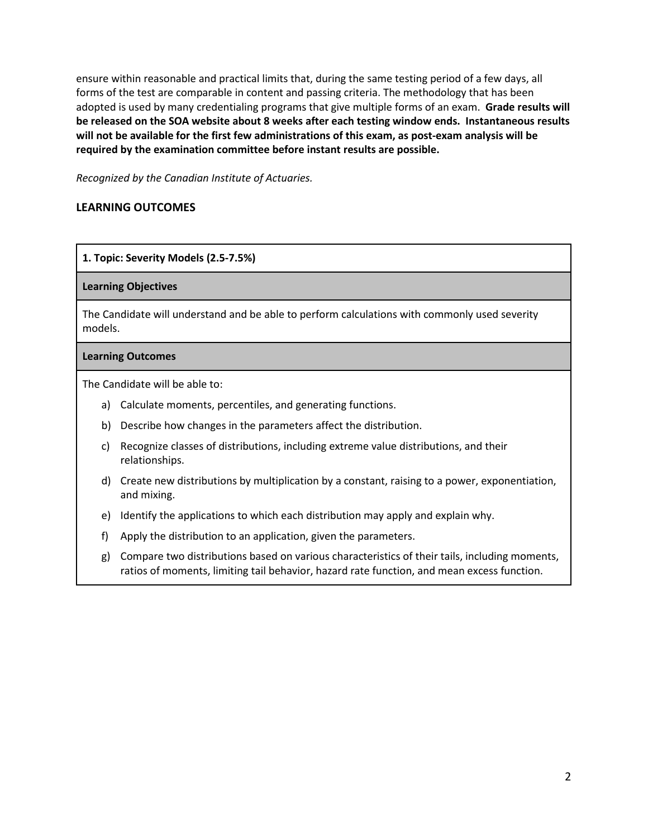ensure within reasonable and practical limits that, during the same testing period of a few days, all forms of the test are comparable in content and passing criteria. The methodology that has been adopted is used by many credentialing programs that give multiple forms of an exam. **Grade results will be released on the SOA website about 8 weeks after each testing window ends. Instantaneous results will not be available for the first few administrations of this exam, as post-exam analysis will be required by the examination committee before instant results are possible.** 

*Recognized by the Canadian Institute of Actuaries.*

# **LEARNING OUTCOMES**

# **1. Topic: Severity Models (2.5-7.5%)**

#### **Learning Objectives**

The Candidate will understand and be able to perform calculations with commonly used severity models.

#### **Learning Outcomes**

- a) Calculate moments, percentiles, and generating functions.
- b) Describe how changes in the parameters affect the distribution.
- c) Recognize classes of distributions, including extreme value distributions, and their relationships.
- d) Create new distributions by multiplication by a constant, raising to a power, exponentiation, and mixing.
- e) Identify the applications to which each distribution may apply and explain why.
- f) Apply the distribution to an application, given the parameters.
- g) Compare two distributions based on various characteristics of their tails, including moments, ratios of moments, limiting tail behavior, hazard rate function, and mean excess function.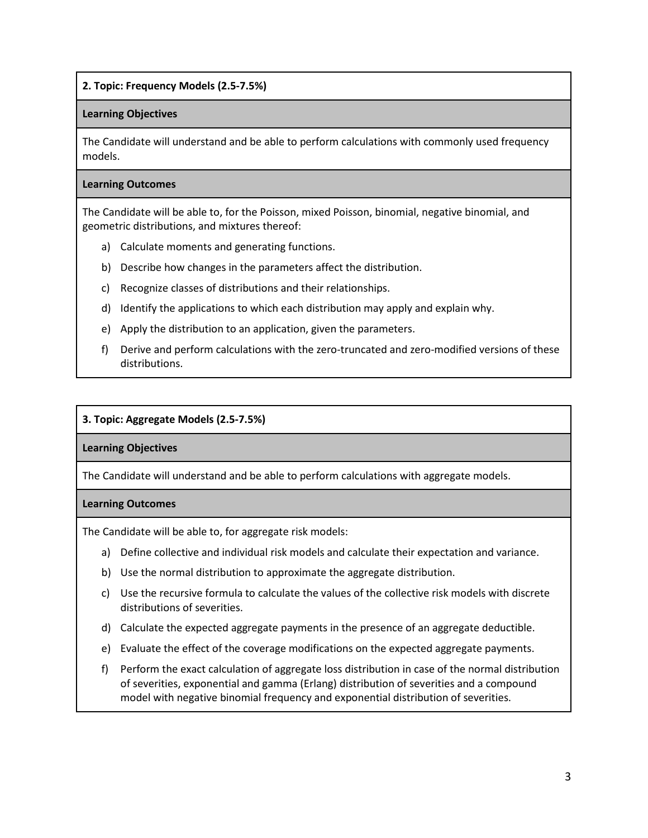**2. Topic: Frequency Models (2.5-7.5%)**

## **Learning Objectives**

The Candidate will understand and be able to perform calculations with commonly used frequency models.

#### **Learning Outcomes**

The Candidate will be able to, for the Poisson, mixed Poisson, binomial, negative binomial, and geometric distributions, and mixtures thereof:

- a) Calculate moments and generating functions.
- b) Describe how changes in the parameters affect the distribution.
- c) Recognize classes of distributions and their relationships.
- d) Identify the applications to which each distribution may apply and explain why.
- e) Apply the distribution to an application, given the parameters.
- f) Derive and perform calculations with the zero-truncated and zero-modified versions of these distributions.

## **3. Topic: Aggregate Models (2.5-7.5%)**

## **Learning Objectives**

The Candidate will understand and be able to perform calculations with aggregate models.

## **Learning Outcomes**

The Candidate will be able to, for aggregate risk models:

- a) Define collective and individual risk models and calculate their expectation and variance.
- b) Use the normal distribution to approximate the aggregate distribution.
- c) Use the recursive formula to calculate the values of the collective risk models with discrete distributions of severities.
- d) Calculate the expected aggregate payments in the presence of an aggregate deductible.
- e) Evaluate the effect of the coverage modifications on the expected aggregate payments.
- f) Perform the exact calculation of aggregate loss distribution in case of the normal distribution of severities, exponential and gamma (Erlang) distribution of severities and a compound model with negative binomial frequency and exponential distribution of severities.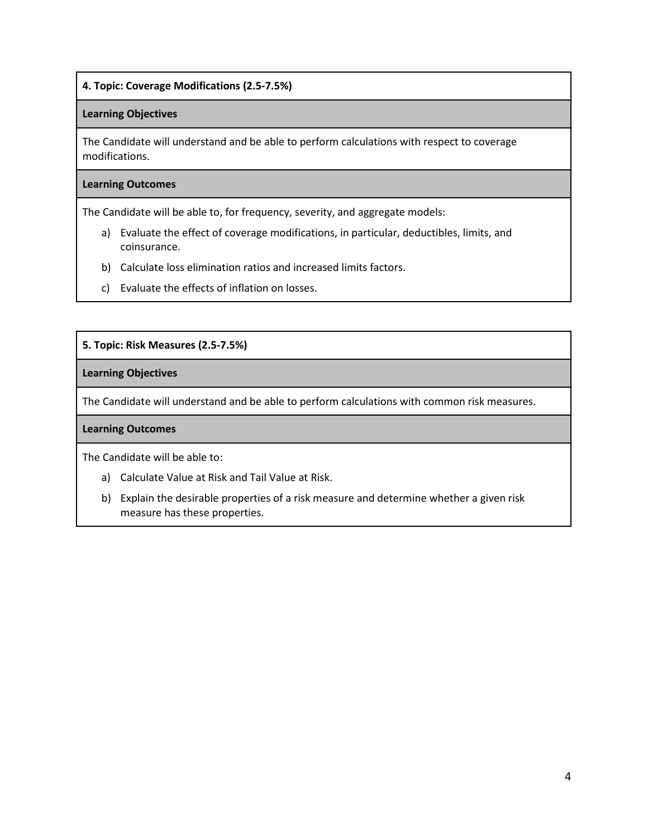# **4. Topic: Coverage Modifications (2.5-7.5%)**

## **Learning Objectives**

The Candidate will understand and be able to perform calculations with respect to coverage modifications.

#### **Learning Outcomes**

The Candidate will be able to, for frequency, severity, and aggregate models:

- a) Evaluate the effect of coverage modifications, in particular, deductibles, limits, and coinsurance.
- b) Calculate loss elimination ratios and increased limits factors.
- c) Evaluate the effects of inflation on losses.

# **5. Topic: Risk Measures (2.5-7.5%)**

## **Learning Objectives**

The Candidate will understand and be able to perform calculations with common risk measures.

## **Learning Outcomes**

- a) Calculate Value at Risk and Tail Value at Risk.
- b) Explain the desirable properties of a risk measure and determine whether a given risk measure has these properties.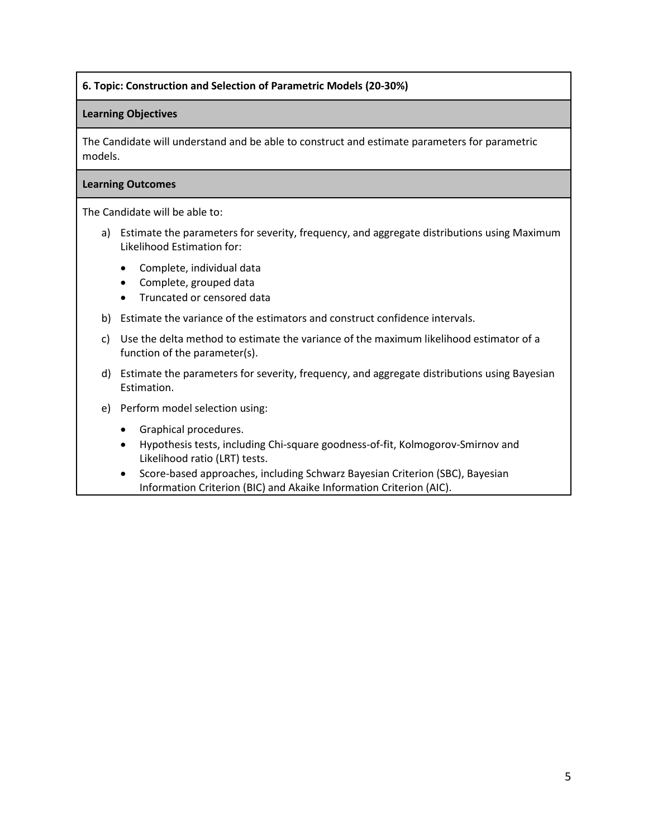## **6. Topic: Construction and Selection of Parametric Models (20-30%)**

## **Learning Objectives**

The Candidate will understand and be able to construct and estimate parameters for parametric models.

#### **Learning Outcomes**

- a) Estimate the parameters for severity, frequency, and aggregate distributions using Maximum Likelihood Estimation for:
	- Complete, individual data
	- Complete, grouped data
	- Truncated or censored data
- b) Estimate the variance of the estimators and construct confidence intervals.
- c) Use the delta method to estimate the variance of the maximum likelihood estimator of a function of the parameter(s).
- d) Estimate the parameters for severity, frequency, and aggregate distributions using Bayesian Estimation.
- e) Perform model selection using:
	- Graphical procedures.
	- Hypothesis tests, including Chi-square goodness-of-fit, Kolmogorov-Smirnov and Likelihood ratio (LRT) tests.
	- Score-based approaches, including Schwarz Bayesian Criterion (SBC), Bayesian Information Criterion (BIC) and Akaike Information Criterion (AIC).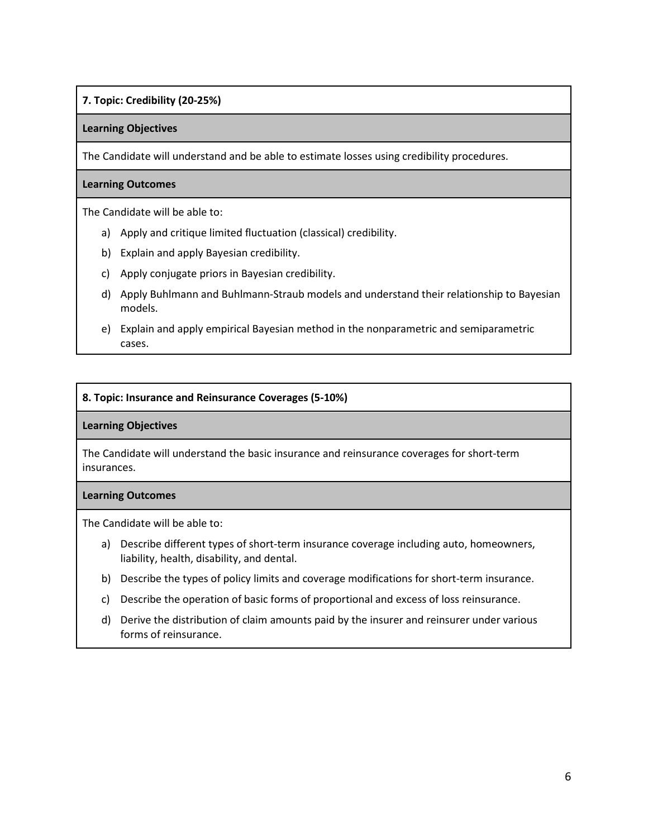# **7. Topic: Credibility (20-25%)**

#### **Learning Objectives**

The Candidate will understand and be able to estimate losses using credibility procedures.

#### **Learning Outcomes**

The Candidate will be able to:

- a) Apply and critique limited fluctuation (classical) credibility.
- b) Explain and apply Bayesian credibility.
- c) Apply conjugate priors in Bayesian credibility.
- d) Apply Buhlmann and Buhlmann-Straub models and understand their relationship to Bayesian models.
- e) Explain and apply empirical Bayesian method in the nonparametric and semiparametric cases.

## **8. Topic: Insurance and Reinsurance Coverages (5-10%)**

#### **Learning Objectives**

The Candidate will understand the basic insurance and reinsurance coverages for short-term insurances.

#### **Learning Outcomes**

- a) Describe different types of short-term insurance coverage including auto, homeowners, liability, health, disability, and dental.
- b) Describe the types of policy limits and coverage modifications for short-term insurance.
- c) Describe the operation of basic forms of proportional and excess of loss reinsurance.
- d) Derive the distribution of claim amounts paid by the insurer and reinsurer under various forms of reinsurance.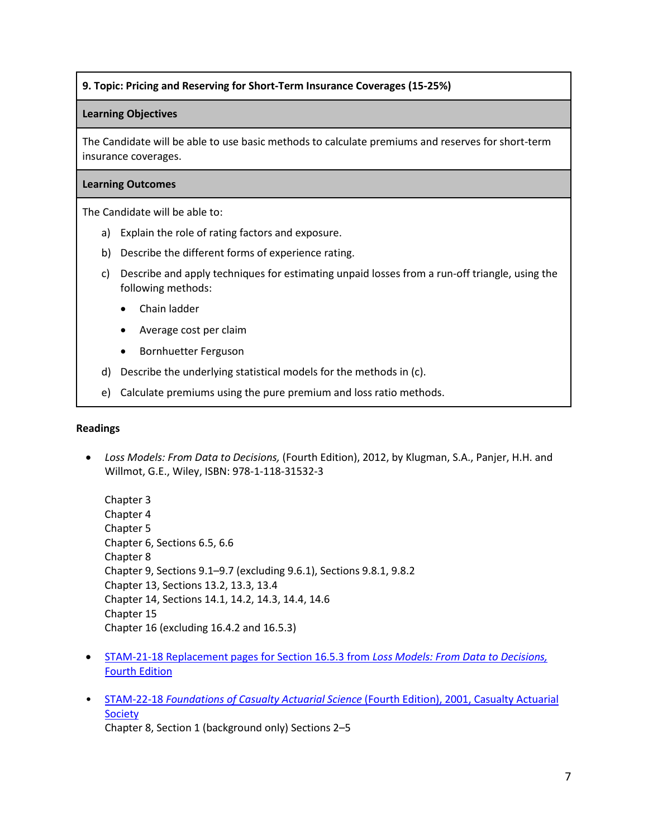# **9. Topic: Pricing and Reserving for Short-Term Insurance Coverages (15-25%)**

#### **Learning Objectives**

The Candidate will be able to use basic methods to calculate premiums and reserves for short-term insurance coverages.

## **Learning Outcomes**

The Candidate will be able to:

- a) Explain the role of rating factors and exposure.
- b) Describe the different forms of experience rating.
- c) Describe and apply techniques for estimating unpaid losses from a run-off triangle, using the following methods:
	- Chain ladder
	- Average cost per claim
	- Bornhuetter Ferguson
- d) Describe the underlying statistical models for the methods in (c).
- e) Calculate premiums using the pure premium and loss ratio methods.

#### **Readings**

• *Loss Models: From Data to Decisions,* (Fourth Edition), 2012, by Klugman, S.A., Panjer, H.H. and Willmot, G.E., Wiley, ISBN: 978-1-118-31532-3

Chapter 3 Chapter 4 Chapter 5 Chapter 6, Sections 6.5, 6.6 Chapter 8 Chapter 9, Sections 9.1–9.7 (excluding 9.6.1), Sections 9.8.1, 9.8.2 Chapter 13, Sections 13.2, 13.3, 13.4 Chapter 14, Sections 14.1, 14.2, 14.3, 14.4, 14.6 Chapter 15 Chapter 16 (excluding 16.4.2 and 16.5.3)

- STAM-21-18 [Replacement pages for Section 16.5.3 from](https://www.soa.org/Files/Edu/2018/2018-stam-loss-models-data.pdf) *Loss Models: From Data to Decisions,*  [Fourth Edition](https://www.soa.org/Files/Edu/2018/2018-ltam-loss-models-data.pdf)
- STAM-22-18 *[Foundations of Casualty Actuarial Science](https://www.soa.org/Files/Edu/2018/2018-stam-22-18.pdf)* (Fourth Edition), 2001, Casualty Actuarial [Society](https://www.soa.org/Files/Edu/2018/2018-stam-22-18.pdf) Chapter 8, Section 1 (background only) Sections 2–5